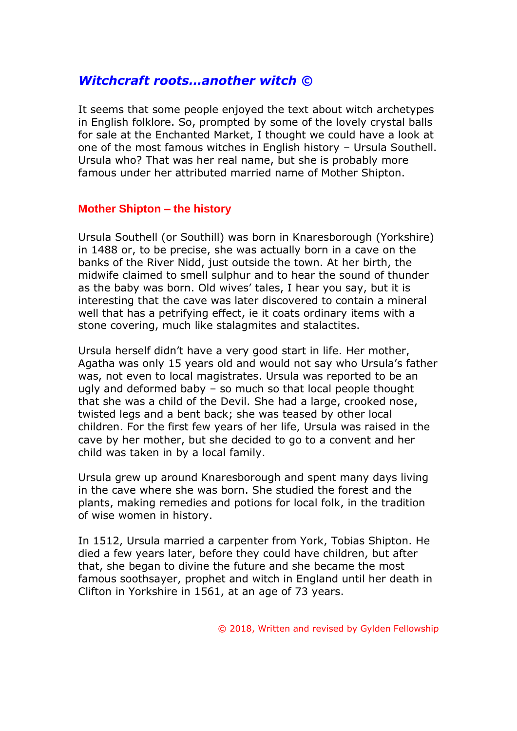## *Witchcraft roots…another witch ©*

It seems that some people enjoyed the text about witch archetypes in English folklore. So, prompted by some of the lovely crystal balls for sale at the Enchanted Market, I thought we could have a look at one of the most famous witches in English history – Ursula Southell. Ursula who? That was her real name, but she is probably more famous under her attributed married name of Mother Shipton.

## **Mother Shipton – the history**

Ursula Southell (or Southill) was born in Knaresborough (Yorkshire) in 1488 or, to be precise, she was actually born in a cave on the banks of the River Nidd, just outside the town. At her birth, the midwife claimed to smell sulphur and to hear the sound of thunder as the baby was born. Old wives' tales, I hear you say, but it is interesting that the cave was later discovered to contain a mineral well that has a petrifying effect, ie it coats ordinary items with a stone covering, much like stalagmites and stalactites.

Ursula herself didn't have a very good start in life. Her mother, Agatha was only 15 years old and would not say who Ursula's father was, not even to local magistrates. Ursula was reported to be an ugly and deformed baby – so much so that local people thought that she was a child of the Devil. She had a large, crooked nose, twisted legs and a bent back; she was teased by other local children. For the first few years of her life, Ursula was raised in the cave by her mother, but she decided to go to a convent and her child was taken in by a local family.

Ursula grew up around Knaresborough and spent many days living in the cave where she was born. She studied the forest and the plants, making remedies and potions for local folk, in the tradition of wise women in history.

In 1512, Ursula married a carpenter from York, Tobias Shipton. He died a few years later, before they could have children, but after that, she began to divine the future and she became the most famous soothsayer, prophet and witch in England until her death in Clifton in Yorkshire in 1561, at an age of 73 years.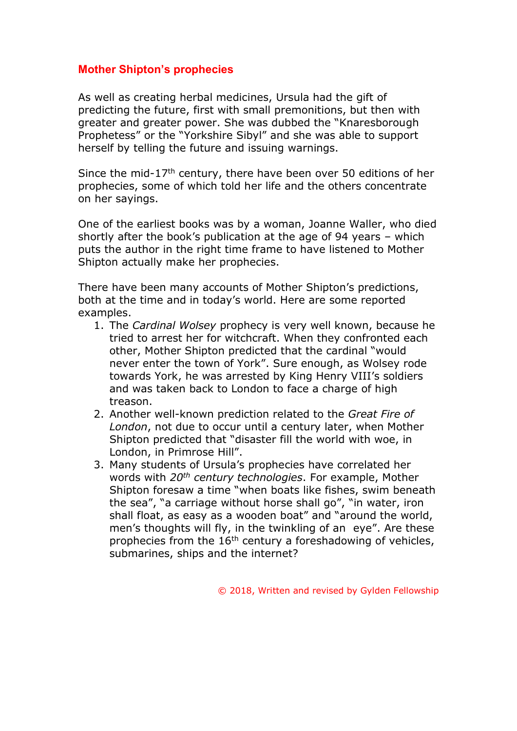## **Mother Shipton's prophecies**

As well as creating herbal medicines, Ursula had the gift of predicting the future, first with small premonitions, but then with greater and greater power. She was dubbed the "Knaresborough Prophetess" or the "Yorkshire Sibyl" and she was able to support herself by telling the future and issuing warnings.

Since the mid-17th century, there have been over 50 editions of her prophecies, some of which told her life and the others concentrate on her sayings.

One of the earliest books was by a woman, Joanne Waller, who died shortly after the book's publication at the age of 94 years – which puts the author in the right time frame to have listened to Mother Shipton actually make her prophecies.

There have been many accounts of Mother Shipton's predictions, both at the time and in today's world. Here are some reported examples.

- 1. The *Cardinal Wolsey* prophecy is very well known, because he tried to arrest her for witchcraft. When they confronted each other, Mother Shipton predicted that the cardinal "would never enter the town of York". Sure enough, as Wolsey rode towards York, he was arrested by King Henry VIII's soldiers and was taken back to London to face a charge of high treason.
- 2. Another well-known prediction related to the *Great Fire of London*, not due to occur until a century later, when Mother Shipton predicted that "disaster fill the world with woe, in London, in Primrose Hill".
- 3. Many students of Ursula's prophecies have correlated her words with *20th century technologies*. For example, Mother Shipton foresaw a time "when boats like fishes, swim beneath the sea", "a carriage without horse shall go", "in water, iron shall float, as easy as a wooden boat" and "around the world, men's thoughts will fly, in the twinkling of an eye". Are these prophecies from the  $16<sup>th</sup>$  century a foreshadowing of vehicles, submarines, ships and the internet?